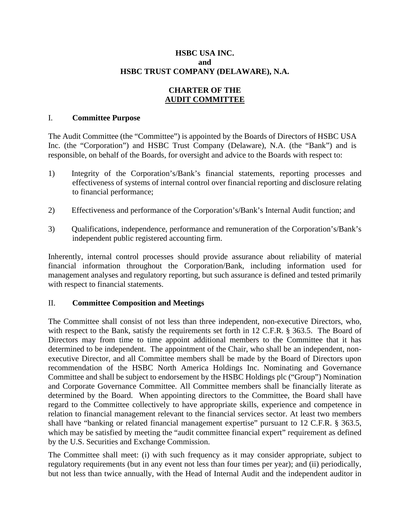### **HSBC USA INC. and HSBC TRUST COMPANY (DELAWARE), N.A.**

### **CHARTER OF THE AUDIT COMMITTEE**

#### I. **Committee Purpose**

The Audit Committee (the "Committee") is appointed by the Boards of Directors of HSBC USA Inc. (the "Corporation") and HSBC Trust Company (Delaware), N.A. (the "Bank") and is responsible, on behalf of the Boards, for oversight and advice to the Boards with respect to:

- 1) Integrity of the Corporation's/Bank's financial statements, reporting processes and effectiveness of systems of internal control over financial reporting and disclosure relating to financial performance;
- 2) Effectiveness and performance of the Corporation's/Bank's Internal Audit function; and
- 3) Qualifications, independence, performance and remuneration of the Corporation's/Bank's independent public registered accounting firm.

Inherently, internal control processes should provide assurance about reliability of material financial information throughout the Corporation/Bank, including information used for management analyses and regulatory reporting, but such assurance is defined and tested primarily with respect to financial statements.

### II. **Committee Composition and Meetings**

The Committee shall consist of not less than three independent, non-executive Directors, who, with respect to the Bank, satisfy the requirements set forth in 12 C.F.R. § 363.5. The Board of Directors may from time to time appoint additional members to the Committee that it has determined to be independent. The appointment of the Chair, who shall be an independent, nonexecutive Director, and all Committee members shall be made by the Board of Directors upon recommendation of the HSBC North America Holdings Inc. Nominating and Governance Committee and shall be subject to endorsement by the HSBC Holdings plc ("Group") Nomination and Corporate Governance Committee. All Committee members shall be financially literate as determined by the Board. When appointing directors to the Committee, the Board shall have regard to the Committee collectively to have appropriate skills, experience and competence in relation to financial management relevant to the financial services sector. At least two members shall have "banking or related financial management expertise" pursuant to 12 C.F.R. § 363.5, which may be satisfied by meeting the "audit committee financial expert" requirement as defined by the U.S. Securities and Exchange Commission.

The Committee shall meet: (i) with such frequency as it may consider appropriate, subject to regulatory requirements (but in any event not less than four times per year); and (ii) periodically, but not less than twice annually, with the Head of Internal Audit and the independent auditor in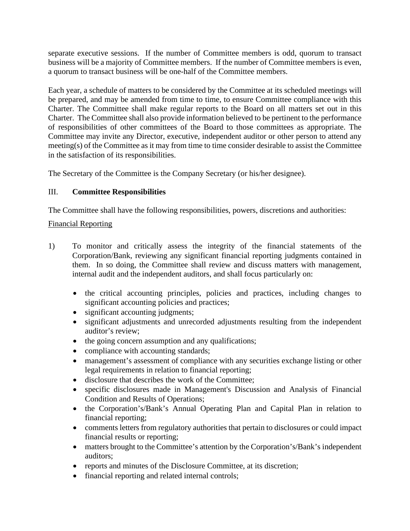separate executive sessions. If the number of Committee members is odd, quorum to transact business will be a majority of Committee members. If the number of Committee members is even, a quorum to transact business will be one-half of the Committee members.

Each year, a schedule of matters to be considered by the Committee at its scheduled meetings will be prepared, and may be amended from time to time, to ensure Committee compliance with this Charter. The Committee shall make regular reports to the Board on all matters set out in this Charter. The Committee shall also provide information believed to be pertinent to the performance of responsibilities of other committees of the Board to those committees as appropriate. The Committee may invite any Director, executive, independent auditor or other person to attend any meeting(s) of the Committee as it may from time to time consider desirable to assist the Committee in the satisfaction of its responsibilities.

The Secretary of the Committee is the Company Secretary (or his/her designee).

# III. **Committee Responsibilities**

The Committee shall have the following responsibilities, powers, discretions and authorities:

# Financial Reporting

- 1) To monitor and critically assess the integrity of the financial statements of the Corporation/Bank, reviewing any significant financial reporting judgments contained in them. In so doing, the Committee shall review and discuss matters with management, internal audit and the independent auditors, and shall focus particularly on:
	- the critical accounting principles, policies and practices, including changes to significant accounting policies and practices;
	- significant accounting judgments;
	- significant adjustments and unrecorded adjustments resulting from the independent auditor's review;
	- the going concern assumption and any qualifications;
	- compliance with accounting standards;
	- management's assessment of compliance with any securities exchange listing or other legal requirements in relation to financial reporting;
	- disclosure that describes the work of the Committee;
	- specific disclosures made in Management's Discussion and Analysis of Financial Condition and Results of Operations;
	- the Corporation's/Bank's Annual Operating Plan and Capital Plan in relation to financial reporting;
	- comments letters from regulatory authorities that pertain to disclosures or could impact financial results or reporting;
	- matters brought to the Committee's attention by the Corporation's/Bank's independent auditors;
	- reports and minutes of the Disclosure Committee, at its discretion;
	- financial reporting and related internal controls;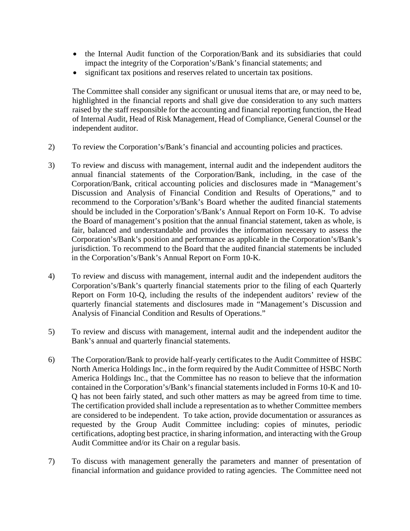- the Internal Audit function of the Corporation/Bank and its subsidiaries that could impact the integrity of the Corporation's/Bank's financial statements; and
- significant tax positions and reserves related to uncertain tax positions.

The Committee shall consider any significant or unusual items that are, or may need to be, highlighted in the financial reports and shall give due consideration to any such matters raised by the staff responsible for the accounting and financial reporting function, the Head of Internal Audit, Head of Risk Management, Head of Compliance, General Counsel or the independent auditor.

- 2) To review the Corporation's/Bank's financial and accounting policies and practices.
- 3) To review and discuss with management, internal audit and the independent auditors the annual financial statements of the Corporation/Bank, including, in the case of the Corporation/Bank, critical accounting policies and disclosures made in "Management's Discussion and Analysis of Financial Condition and Results of Operations," and to recommend to the Corporation's/Bank's Board whether the audited financial statements should be included in the Corporation's/Bank's Annual Report on Form 10-K. To advise the Board of management's position that the annual financial statement, taken as whole, is fair, balanced and understandable and provides the information necessary to assess the Corporation's/Bank's position and performance as applicable in the Corporation's/Bank's jurisdiction. To recommend to the Board that the audited financial statements be included in the Corporation's/Bank's Annual Report on Form 10-K.
- 4) To review and discuss with management, internal audit and the independent auditors the Corporation's/Bank's quarterly financial statements prior to the filing of each Quarterly Report on Form 10-Q, including the results of the independent auditors' review of the quarterly financial statements and disclosures made in "Management's Discussion and Analysis of Financial Condition and Results of Operations."
- 5) To review and discuss with management, internal audit and the independent auditor the Bank's annual and quarterly financial statements.
- 6) The Corporation/Bank to provide half-yearly certificates to the Audit Committee of HSBC North America Holdings Inc., in the form required by the Audit Committee of HSBC North America Holdings Inc., that the Committee has no reason to believe that the information contained in the Corporation's/Bank's financial statements included in Forms 10-K and 10- Q has not been fairly stated, and such other matters as may be agreed from time to time. The certification provided shall include a representation as to whether Committee members are considered to be independent. To take action, provide documentation or assurances as requested by the Group Audit Committee including: copies of minutes, periodic certifications, adopting best practice, in sharing information, and interacting with the Group Audit Committee and/or its Chair on a regular basis.
- 7) To discuss with management generally the parameters and manner of presentation of financial information and guidance provided to rating agencies. The Committee need not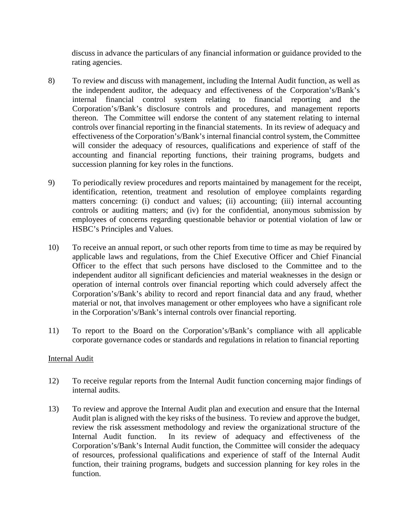discuss in advance the particulars of any financial information or guidance provided to the rating agencies.

- 8) To review and discuss with management, including the Internal Audit function, as well as the independent auditor, the adequacy and effectiveness of the Corporation's/Bank's internal financial control system relating to financial reporting and the Corporation's/Bank's disclosure controls and procedures, and management reports thereon. The Committee will endorse the content of any statement relating to internal controls over financial reporting in the financial statements. In its review of adequacy and effectiveness of the Corporation's/Bank's internal financial control system, the Committee will consider the adequacy of resources, qualifications and experience of staff of the accounting and financial reporting functions, their training programs, budgets and succession planning for key roles in the functions.
- 9) To periodically review procedures and reports maintained by management for the receipt, identification, retention, treatment and resolution of employee complaints regarding matters concerning: (i) conduct and values; (ii) accounting; (iii) internal accounting controls or auditing matters; and (iv) for the confidential, anonymous submission by employees of concerns regarding questionable behavior or potential violation of law or HSBC's Principles and Values.
- 10) To receive an annual report, or such other reports from time to time as may be required by applicable laws and regulations, from the Chief Executive Officer and Chief Financial Officer to the effect that such persons have disclosed to the Committee and to the independent auditor all significant deficiencies and material weaknesses in the design or operation of internal controls over financial reporting which could adversely affect the Corporation's/Bank's ability to record and report financial data and any fraud, whether material or not, that involves management or other employees who have a significant role in the Corporation's/Bank's internal controls over financial reporting.
- 11) To report to the Board on the Corporation's/Bank's compliance with all applicable corporate governance codes or standards and regulations in relation to financial reporting

### Internal Audit

- 12) To receive regular reports from the Internal Audit function concerning major findings of internal audits.
- 13) To review and approve the Internal Audit plan and execution and ensure that the Internal Audit plan is aligned with the key risks of the business. To review and approve the budget, review the risk assessment methodology and review the organizational structure of the Internal Audit function. In its review of adequacy and effectiveness of the Corporation's/Bank's Internal Audit function, the Committee will consider the adequacy of resources, professional qualifications and experience of staff of the Internal Audit function, their training programs, budgets and succession planning for key roles in the function.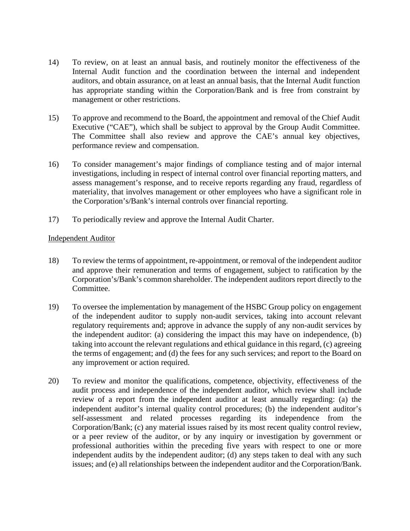- 14) To review, on at least an annual basis, and routinely monitor the effectiveness of the Internal Audit function and the coordination between the internal and independent auditors, and obtain assurance, on at least an annual basis, that the Internal Audit function has appropriate standing within the Corporation/Bank and is free from constraint by management or other restrictions.
- 15) To approve and recommend to the Board, the appointment and removal of the Chief Audit Executive ("CAE"), which shall be subject to approval by the Group Audit Committee. The Committee shall also review and approve the CAE's annual key objectives, performance review and compensation.
- 16) To consider management's major findings of compliance testing and of major internal investigations, including in respect of internal control over financial reporting matters, and assess management's response, and to receive reports regarding any fraud, regardless of materiality, that involves management or other employees who have a significant role in the Corporation's/Bank's internal controls over financial reporting.
- 17) To periodically review and approve the Internal Audit Charter.

### Independent Auditor

- 18) To review the terms of appointment, re-appointment, or removal of the independent auditor and approve their remuneration and terms of engagement, subject to ratification by the Corporation's/Bank's common shareholder. The independent auditors report directly to the Committee.
- 19) To oversee the implementation by management of the HSBC Group policy on engagement of the independent auditor to supply non-audit services, taking into account relevant regulatory requirements and; approve in advance the supply of any non-audit services by the independent auditor: (a) considering the impact this may have on independence, (b) taking into account the relevant regulations and ethical guidance in this regard, (c) agreeing the terms of engagement; and (d) the fees for any such services; and report to the Board on any improvement or action required.
- 20) To review and monitor the qualifications, competence, objectivity, effectiveness of the audit process and independence of the independent auditor, which review shall include review of a report from the independent auditor at least annually regarding: (a) the independent auditor's internal quality control procedures; (b) the independent auditor's self-assessment and related processes regarding its independence from the Corporation/Bank; (c) any material issues raised by its most recent quality control review, or a peer review of the auditor, or by any inquiry or investigation by government or professional authorities within the preceding five years with respect to one or more independent audits by the independent auditor; (d) any steps taken to deal with any such issues; and (e) all relationships between the independent auditor and the Corporation/Bank.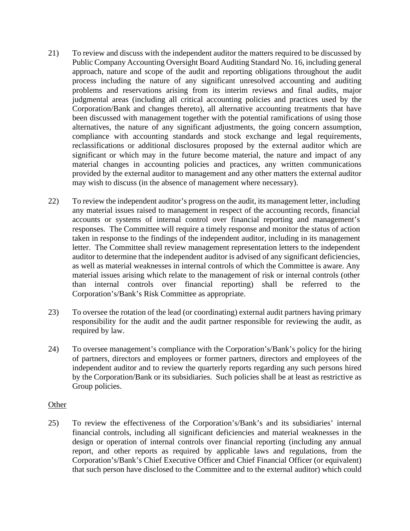- 21) To review and discuss with the independent auditor the matters required to be discussed by Public Company Accounting Oversight Board Auditing Standard No. 16, including general approach, nature and scope of the audit and reporting obligations throughout the audit process including the nature of any significant unresolved accounting and auditing problems and reservations arising from its interim reviews and final audits, major judgmental areas (including all critical accounting policies and practices used by the Corporation/Bank and changes thereto), all alternative accounting treatments that have been discussed with management together with the potential ramifications of using those alternatives, the nature of any significant adjustments, the going concern assumption, compliance with accounting standards and stock exchange and legal requirements, reclassifications or additional disclosures proposed by the external auditor which are significant or which may in the future become material, the nature and impact of any material changes in accounting policies and practices, any written communications provided by the external auditor to management and any other matters the external auditor may wish to discuss (in the absence of management where necessary).
- 22) To review the independent auditor's progress on the audit, its management letter, including any material issues raised to management in respect of the accounting records, financial accounts or systems of internal control over financial reporting and management's responses. The Committee will require a timely response and monitor the status of action taken in response to the findings of the independent auditor, including in its management letter. The Committee shall review management representation letters to the independent auditor to determine that the independent auditor is advised of any significant deficiencies, as well as material weaknesses in internal controls of which the Committee is aware. Any material issues arising which relate to the management of risk or internal controls (other than internal controls over financial reporting) shall be referred to the Corporation's/Bank's Risk Committee as appropriate.
- 23) To oversee the rotation of the lead (or coordinating) external audit partners having primary responsibility for the audit and the audit partner responsible for reviewing the audit, as required by law.
- 24) To oversee management's compliance with the Corporation's/Bank's policy for the hiring of partners, directors and employees or former partners, directors and employees of the independent auditor and to review the quarterly reports regarding any such persons hired by the Corporation/Bank or its subsidiaries. Such policies shall be at least as restrictive as Group policies.

### **Other**

25) To review the effectiveness of the Corporation's/Bank's and its subsidiaries' internal financial controls, including all significant deficiencies and material weaknesses in the design or operation of internal controls over financial reporting (including any annual report, and other reports as required by applicable laws and regulations, from the Corporation's/Bank's Chief Executive Officer and Chief Financial Officer (or equivalent) that such person have disclosed to the Committee and to the external auditor) which could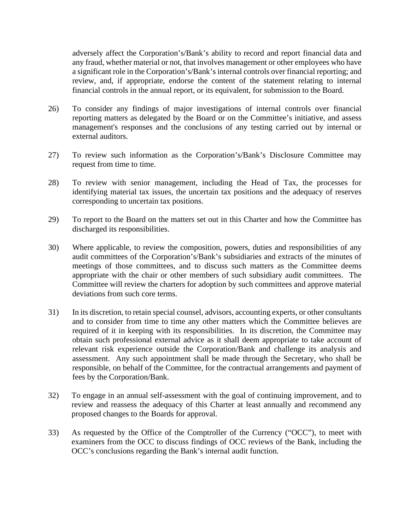adversely affect the Corporation's/Bank's ability to record and report financial data and any fraud, whether material or not, that involves management or other employees who have a significant role in the Corporation's/Bank's internal controls over financial reporting; and review, and, if appropriate, endorse the content of the statement relating to internal financial controls in the annual report, or its equivalent, for submission to the Board.

- 26) To consider any findings of major investigations of internal controls over financial reporting matters as delegated by the Board or on the Committee's initiative, and assess management's responses and the conclusions of any testing carried out by internal or external auditors.
- 27) To review such information as the Corporation's/Bank's Disclosure Committee may request from time to time.
- 28) To review with senior management, including the Head of Tax, the processes for identifying material tax issues, the uncertain tax positions and the adequacy of reserves corresponding to uncertain tax positions.
- 29) To report to the Board on the matters set out in this Charter and how the Committee has discharged its responsibilities.
- 30) Where applicable, to review the composition, powers, duties and responsibilities of any audit committees of the Corporation's/Bank's subsidiaries and extracts of the minutes of meetings of those committees, and to discuss such matters as the Committee deems appropriate with the chair or other members of such subsidiary audit committees. The Committee will review the charters for adoption by such committees and approve material deviations from such core terms.
- 31) In its discretion, to retain special counsel, advisors, accounting experts, or other consultants and to consider from time to time any other matters which the Committee believes are required of it in keeping with its responsibilities. In its discretion, the Committee may obtain such professional external advice as it shall deem appropriate to take account of relevant risk experience outside the Corporation/Bank and challenge its analysis and assessment. Any such appointment shall be made through the Secretary, who shall be responsible, on behalf of the Committee, for the contractual arrangements and payment of fees by the Corporation/Bank.
- 32) To engage in an annual self-assessment with the goal of continuing improvement, and to review and reassess the adequacy of this Charter at least annually and recommend any proposed changes to the Boards for approval.
- 33) As requested by the Office of the Comptroller of the Currency ("OCC"), to meet with examiners from the OCC to discuss findings of OCC reviews of the Bank, including the OCC's conclusions regarding the Bank's internal audit function.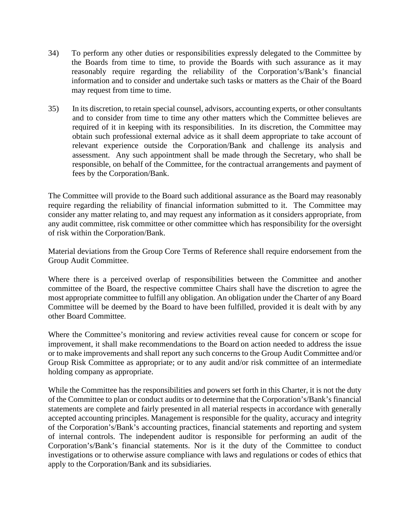- 34) To perform any other duties or responsibilities expressly delegated to the Committee by the Boards from time to time, to provide the Boards with such assurance as it may reasonably require regarding the reliability of the Corporation's/Bank's financial information and to consider and undertake such tasks or matters as the Chair of the Board may request from time to time.
- 35) In its discretion, to retain special counsel, advisors, accounting experts, or other consultants and to consider from time to time any other matters which the Committee believes are required of it in keeping with its responsibilities. In its discretion, the Committee may obtain such professional external advice as it shall deem appropriate to take account of relevant experience outside the Corporation/Bank and challenge its analysis and assessment. Any such appointment shall be made through the Secretary, who shall be responsible, on behalf of the Committee, for the contractual arrangements and payment of fees by the Corporation/Bank.

The Committee will provide to the Board such additional assurance as the Board may reasonably require regarding the reliability of financial information submitted to it. The Committee may consider any matter relating to, and may request any information as it considers appropriate, from any audit committee, risk committee or other committee which has responsibility for the oversight of risk within the Corporation/Bank.

Material deviations from the Group Core Terms of Reference shall require endorsement from the Group Audit Committee.

Where there is a perceived overlap of responsibilities between the Committee and another committee of the Board, the respective committee Chairs shall have the discretion to agree the most appropriate committee to fulfill any obligation. An obligation under the Charter of any Board Committee will be deemed by the Board to have been fulfilled, provided it is dealt with by any other Board Committee.

Where the Committee's monitoring and review activities reveal cause for concern or scope for improvement, it shall make recommendations to the Board on action needed to address the issue or to make improvements and shall report any such concerns to the Group Audit Committee and/or Group Risk Committee as appropriate; or to any audit and/or risk committee of an intermediate holding company as appropriate.

While the Committee has the responsibilities and powers set forth in this Charter, it is not the duty of the Committee to plan or conduct audits or to determine that the Corporation's/Bank's financial statements are complete and fairly presented in all material respects in accordance with generally accepted accounting principles. Management is responsible for the quality, accuracy and integrity of the Corporation's/Bank's accounting practices, financial statements and reporting and system of internal controls. The independent auditor is responsible for performing an audit of the Corporation's/Bank's financial statements. Nor is it the duty of the Committee to conduct investigations or to otherwise assure compliance with laws and regulations or codes of ethics that apply to the Corporation/Bank and its subsidiaries.